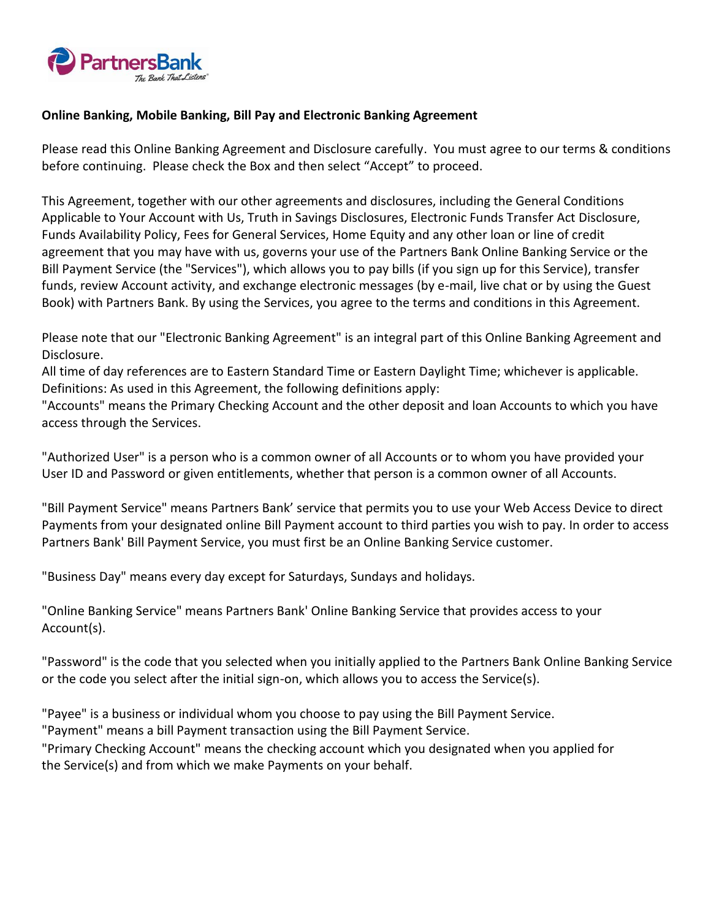

### **Online Banking, Mobile Banking, Bill Pay and Electronic Banking Agreement**

Please read this Online Banking Agreement and Disclosure carefully. You must agree to our terms & conditions before continuing. Please check the Box and then select "Accept" to proceed.

This Agreement, together with our other agreements and disclosures, including the General Conditions Applicable to Your Account with Us, Truth in Savings Disclosures, Electronic Funds Transfer Act Disclosure, Funds Availability Policy, Fees for General Services, Home Equity and any other loan or line of credit agreement that you may have with us, governs your use of the Partners Bank Online Banking Service or the Bill Payment Service (the "Services"), which allows you to pay bills (if you sign up for this Service), transfer funds, review Account activity, and exchange electronic messages (by e-mail, live chat or by using the Guest Book) with Partners Bank. By using the Services, you agree to the terms and conditions in this Agreement.

Please note that our "Electronic Banking Agreement" is an integral part of this Online Banking Agreement and Disclosure.

All time of day references are to Eastern Standard Time or Eastern Daylight Time; whichever is applicable. Definitions: As used in this Agreement, the following definitions apply:

"Accounts" means the Primary Checking Account and the other deposit and loan Accounts to which you have access through the Services.

"Authorized User" is a person who is a common owner of all Accounts or to whom you have provided your User ID and Password or given entitlements, whether that person is a common owner of all Accounts.

"Bill Payment Service" means Partners Bank' service that permits you to use your Web Access Device to direct Payments from your designated online Bill Payment account to third parties you wish to pay. In order to access Partners Bank' Bill Payment Service, you must first be an Online Banking Service customer.

"Business Day" means every day except for Saturdays, Sundays and holidays.

"Online Banking Service" means Partners Bank' Online Banking Service that provides access to your Account(s).

"Password" is the code that you selected when you initially applied to the Partners Bank Online Banking Service or the code you select after the initial sign-on, which allows you to access the Service(s).

"Payee" is a business or individual whom you choose to pay using the Bill Payment Service.

"Payment" means a bill Payment transaction using the Bill Payment Service.

"Primary Checking Account" means the checking account which you designated when you applied for the Service(s) and from which we make Payments on your behalf.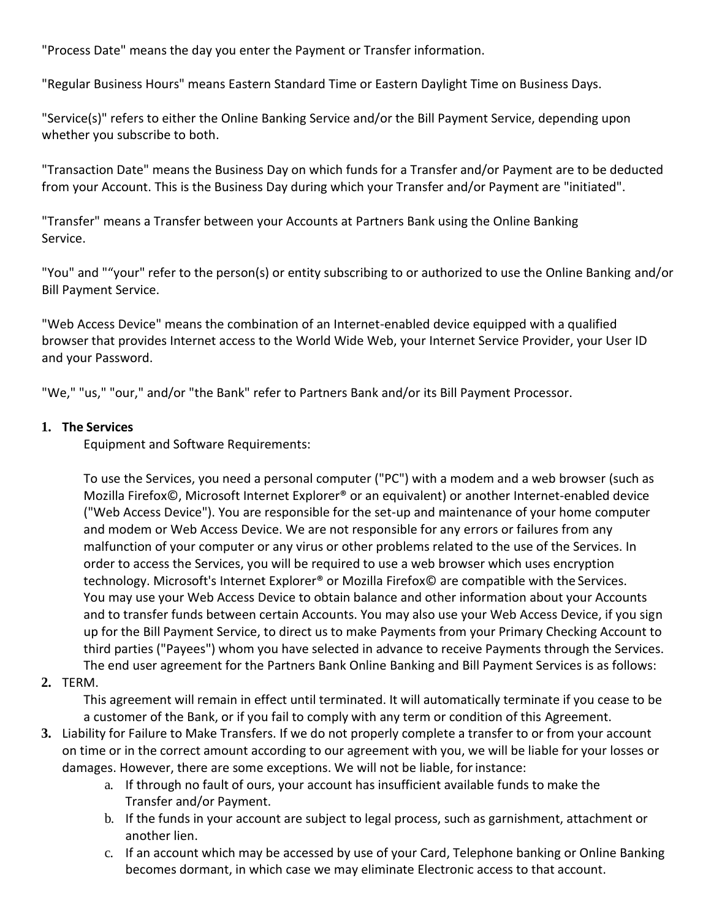"Process Date" means the day you enter the Payment or Transfer information.

"Regular Business Hours" means Eastern Standard Time or Eastern Daylight Time on Business Days.

"Service(s)" refers to either the Online Banking Service and/or the Bill Payment Service, depending upon whether you subscribe to both.

"Transaction Date" means the Business Day on which funds for a Transfer and/or Payment are to be deducted from your Account. This is the Business Day during which your Transfer and/or Payment are "initiated".

"Transfer" means a Transfer between your Accounts at Partners Bank using the Online Banking Service.

"You" and ""your" refer to the person(s) or entity subscribing to or authorized to use the Online Banking and/or Bill Payment Service.

"Web Access Device" means the combination of an Internet-enabled device equipped with a qualified browser that provides Internet access to the World Wide Web, your Internet Service Provider, your User ID and your Password.

"We," "us," "our," and/or "the Bank" refer to Partners Bank and/or its Bill Payment Processor.

## **1. The Services**

Equipment and Software Requirements:

To use the Services, you need a personal computer ("PC") with a modem and a web browser (such as Mozilla Firefox©, Microsoft Internet Explorer® or an equivalent) or another Internet-enabled device ("Web Access Device"). You are responsible for the set-up and maintenance of your home computer and modem or Web Access Device. We are not responsible for any errors or failures from any malfunction of your computer or any virus or other problems related to the use of the Services. In order to access the Services, you will be required to use a web browser which uses encryption technology. Microsoft's Internet Explorer® or Mozilla Firefox© are compatible with the Services. You may use your Web Access Device to obtain balance and other information about your Accounts and to transfer funds between certain Accounts. You may also use your Web Access Device, if you sign up for the Bill Payment Service, to direct us to make Payments from your Primary Checking Account to third parties ("Payees") whom you have selected in advance to receive Payments through the Services. The end user agreement for the Partners Bank Online Banking and Bill Payment Services is as follows:

## **2.** TERM.

This agreement will remain in effect until terminated. It will automatically terminate if you cease to be a customer of the Bank, or if you fail to comply with any term or condition of this Agreement.

- **3.** Liability for Failure to Make Transfers. If we do not properly complete a transfer to or from your account on time or in the correct amount according to our agreement with you, we will be liable for your losses or damages. However, there are some exceptions. We will not be liable, forinstance:
	- a. If through no fault of ours, your account has insufficient available funds to make the Transfer and/or Payment.
	- b. If the funds in your account are subject to legal process, such as garnishment, attachment or another lien.
	- c. If an account which may be accessed by use of your Card, Telephone banking or Online Banking becomes dormant, in which case we may eliminate Electronic access to that account.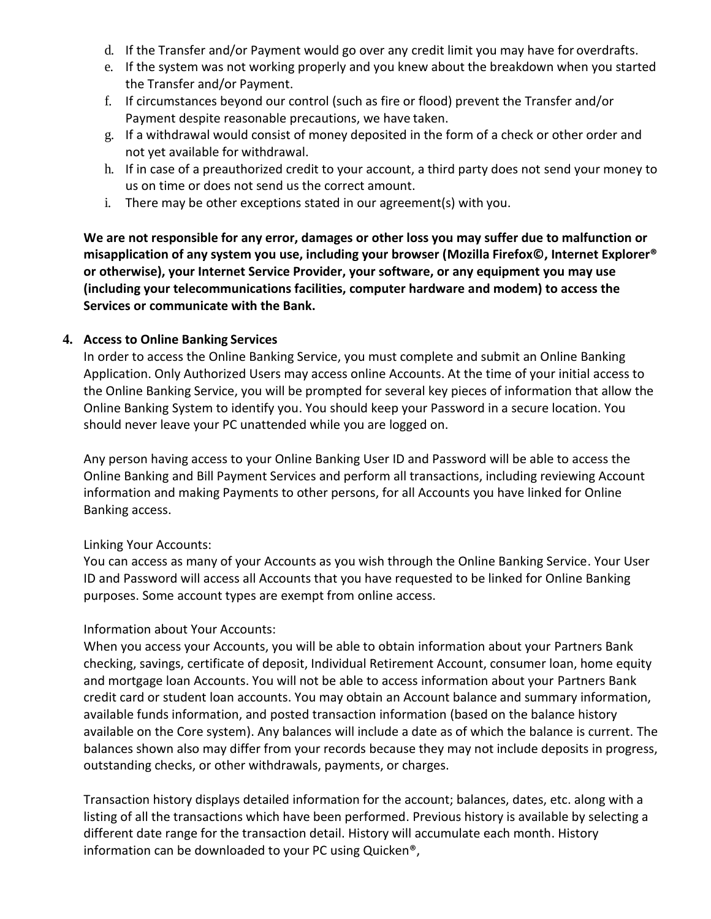- d. If the Transfer and/or Payment would go over any credit limit you may have for overdrafts.
- e. If the system was not working properly and you knew about the breakdown when you started the Transfer and/or Payment.
- f. If circumstances beyond our control (such as fire or flood) prevent the Transfer and/or Payment despite reasonable precautions, we have taken.
- g. If a withdrawal would consist of money deposited in the form of a check or other order and not yet available for withdrawal.
- h. If in case of a preauthorized credit to your account, a third party does not send your money to us on time or does not send us the correct amount.
- i. There may be other exceptions stated in our agreement(s) with you.

**We are not responsible for any error, damages or other loss you may suffer due to malfunction or misapplication of any system you use, including your browser (Mozilla Firefox©, Internet Explorer® or otherwise), your Internet Service Provider, your software, or any equipment you may use (including your telecommunications facilities, computer hardware and modem) to access the Services or communicate with the Bank.**

### **4. Access to Online Banking Services**

In order to access the Online Banking Service, you must complete and submit an Online Banking Application. Only Authorized Users may access online Accounts. At the time of your initial access to the Online Banking Service, you will be prompted for several key pieces of information that allow the Online Banking System to identify you. You should keep your Password in a secure location. You should never leave your PC unattended while you are logged on.

Any person having access to your Online Banking User ID and Password will be able to access the Online Banking and Bill Payment Services and perform all transactions, including reviewing Account information and making Payments to other persons, for all Accounts you have linked for Online Banking access.

### Linking Your Accounts:

You can access as many of your Accounts as you wish through the Online Banking Service. Your User ID and Password will access all Accounts that you have requested to be linked for Online Banking purposes. Some account types are exempt from online access.

## Information about Your Accounts:

When you access your Accounts, you will be able to obtain information about your Partners Bank checking, savings, certificate of deposit, Individual Retirement Account, consumer loan, home equity and mortgage loan Accounts. You will not be able to access information about your Partners Bank credit card or student loan accounts. You may obtain an Account balance and summary information, available funds information, and posted transaction information (based on the balance history available on the Core system). Any balances will include a date as of which the balance is current. The balances shown also may differ from your records because they may not include deposits in progress, outstanding checks, or other withdrawals, payments, or charges.

Transaction history displays detailed information for the account; balances, dates, etc. along with a listing of all the transactions which have been performed. Previous history is available by selecting a different date range for the transaction detail. History will accumulate each month. History information can be downloaded to your PC using Quicken®,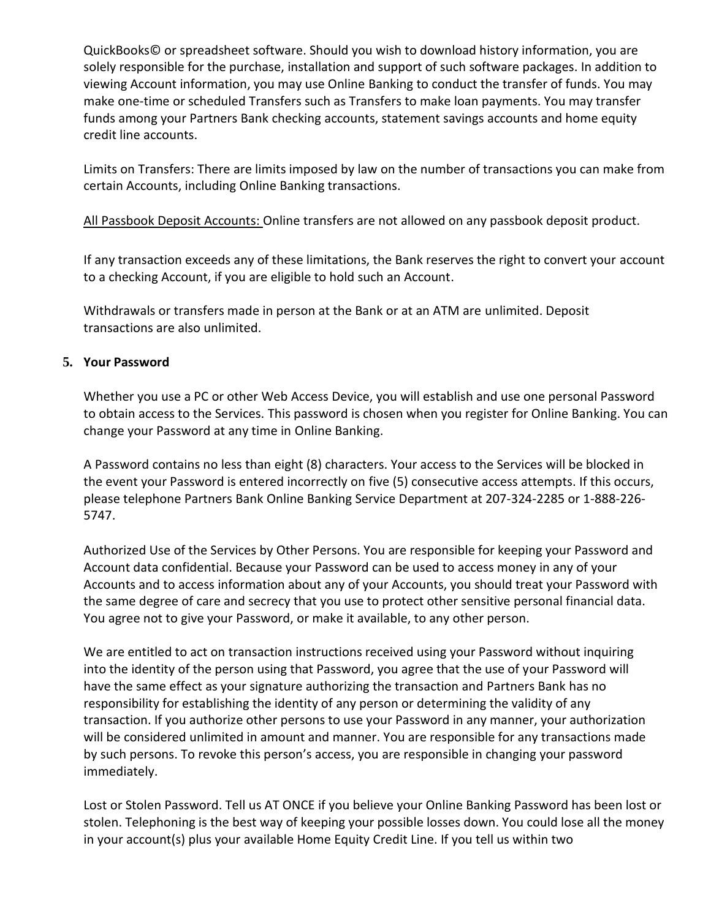QuickBooks© or spreadsheet software. Should you wish to download history information, you are solely responsible for the purchase, installation and support of such software packages. In addition to viewing Account information, you may use Online Banking to conduct the transfer of funds. You may make one-time or scheduled Transfers such as Transfers to make loan payments. You may transfer funds among your Partners Bank checking accounts, statement savings accounts and home equity credit line accounts.

Limits on Transfers: There are limits imposed by law on the number of transactions you can make from certain Accounts, including Online Banking transactions.

All Passbook Deposit Accounts: Online transfers are not allowed on any passbook deposit product.

If any transaction exceeds any of these limitations, the Bank reserves the right to convert your account to a checking Account, if you are eligible to hold such an Account.

Withdrawals or transfers made in person at the Bank or at an ATM are unlimited. Deposit transactions are also unlimited.

### **5. Your Password**

Whether you use a PC or other Web Access Device, you will establish and use one personal Password to obtain access to the Services. This password is chosen when you register for Online Banking. You can change your Password at any time in Online Banking.

A Password contains no less than eight (8) characters. Your access to the Services will be blocked in the event your Password is entered incorrectly on five (5) consecutive access attempts. If this occurs, please telephone Partners Bank Online Banking Service Department at 207-324-2285 or 1-888-226- 5747.

Authorized Use of the Services by Other Persons. You are responsible for keeping your Password and Account data confidential. Because your Password can be used to access money in any of your Accounts and to access information about any of your Accounts, you should treat your Password with the same degree of care and secrecy that you use to protect other sensitive personal financial data. You agree not to give your Password, or make it available, to any other person.

We are entitled to act on transaction instructions received using your Password without inquiring into the identity of the person using that Password, you agree that the use of your Password will have the same effect as your signature authorizing the transaction and Partners Bank has no responsibility for establishing the identity of any person or determining the validity of any transaction. If you authorize other persons to use your Password in any manner, your authorization will be considered unlimited in amount and manner. You are responsible for any transactions made by such persons. To revoke this person's access, you are responsible in changing your password immediately.

Lost or Stolen Password. Tell us AT ONCE if you believe your Online Banking Password has been lost or stolen. Telephoning is the best way of keeping your possible losses down. You could lose all the money in your account(s) plus your available Home Equity Credit Line. If you tell us within two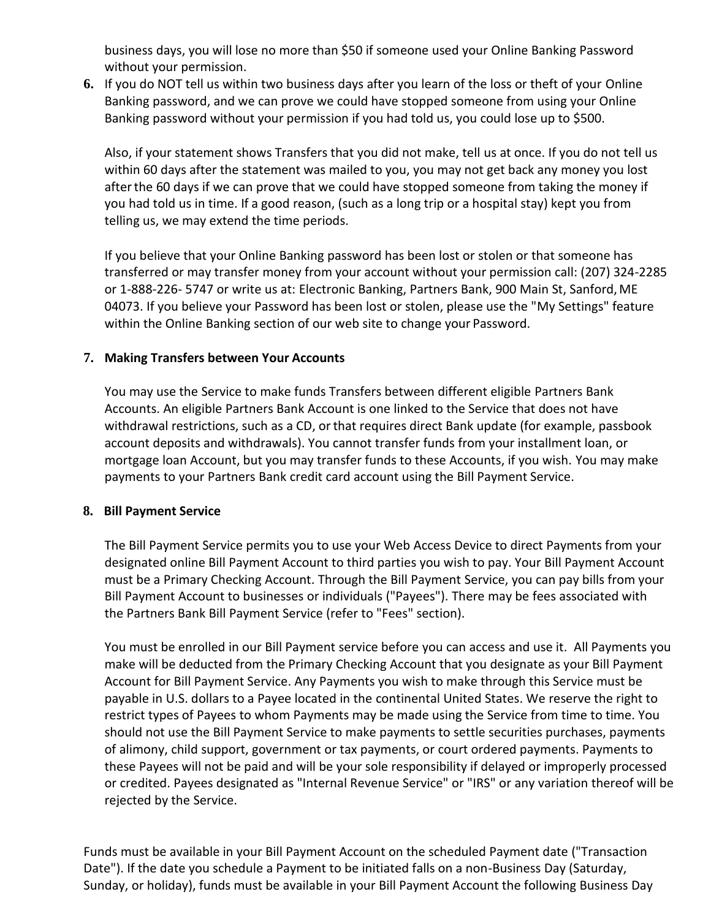business days, you will lose no more than \$50 if someone used your Online Banking Password without your permission.

**6.** If you do NOT tell us within two business days after you learn of the loss or theft of your Online Banking password, and we can prove we could have stopped someone from using your Online Banking password without your permission if you had told us, you could lose up to \$500.

Also, if your statement shows Transfers that you did not make, tell us at once. If you do not tell us within 60 days after the statement was mailed to you, you may not get back any money you lost afterthe 60 days if we can prove that we could have stopped someone from taking the money if you had told us in time. If a good reason, (such as a long trip or a hospital stay) kept you from telling us, we may extend the time periods.

If you believe that your Online Banking password has been lost or stolen or that someone has transferred or may transfer money from your account without your permission call: (207) 324-2285 or 1-888-226- 5747 or write us at: Electronic Banking, Partners Bank, 900 Main St, Sanford,ME 04073. If you believe your Password has been lost or stolen, please use the "My Settings" feature within the Online Banking section of our web site to change your Password.

### **7. Making Transfers between Your Accounts**

You may use the Service to make funds Transfers between different eligible Partners Bank Accounts. An eligible Partners Bank Account is one linked to the Service that does not have withdrawal restrictions, such as a CD, or that requires direct Bank update (for example, passbook account deposits and withdrawals). You cannot transfer funds from your installment loan, or mortgage loan Account, but you may transfer funds to these Accounts, if you wish. You may make payments to your Partners Bank credit card account using the Bill Payment Service.

### **8. Bill Payment Service**

The Bill Payment Service permits you to use your Web Access Device to direct Payments from your designated online Bill Payment Account to third parties you wish to pay. Your Bill Payment Account must be a Primary Checking Account. Through the Bill Payment Service, you can pay bills from your Bill Payment Account to businesses or individuals ("Payees"). There may be fees associated with the Partners Bank Bill Payment Service (refer to "Fees" section).

You must be enrolled in our Bill Payment service before you can access and use it. All Payments you make will be deducted from the Primary Checking Account that you designate as your Bill Payment Account for Bill Payment Service. Any Payments you wish to make through this Service must be payable in U.S. dollars to a Payee located in the continental United States. We reserve the right to restrict types of Payees to whom Payments may be made using the Service from time to time. You should not use the Bill Payment Service to make payments to settle securities purchases, payments of alimony, child support, government or tax payments, or court ordered payments. Payments to these Payees will not be paid and will be your sole responsibility if delayed or improperly processed or credited. Payees designated as "Internal Revenue Service" or "IRS" or any variation thereof will be rejected by the Service.

Funds must be available in your Bill Payment Account on the scheduled Payment date ("Transaction Date"). If the date you schedule a Payment to be initiated falls on a non-Business Day (Saturday, Sunday, or holiday), funds must be available in your Bill Payment Account the following Business Day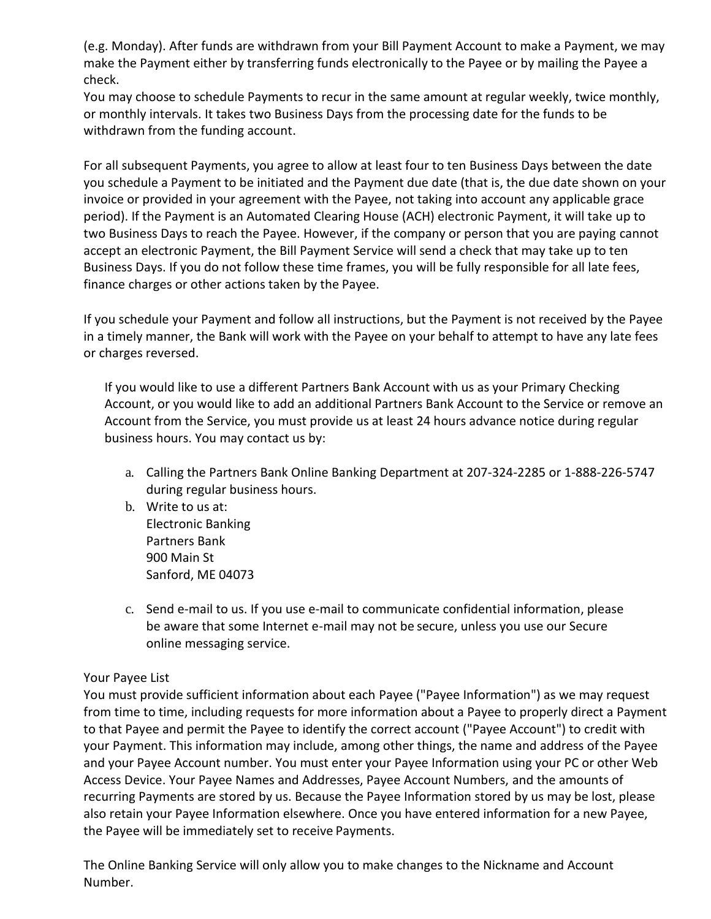(e.g. Monday). After funds are withdrawn from your Bill Payment Account to make a Payment, we may make the Payment either by transferring funds electronically to the Payee or by mailing the Payee a check.

You may choose to schedule Payments to recur in the same amount at regular weekly, twice monthly, or monthly intervals. It takes two Business Days from the processing date for the funds to be withdrawn from the funding account.

For all subsequent Payments, you agree to allow at least four to ten Business Days between the date you schedule a Payment to be initiated and the Payment due date (that is, the due date shown on your invoice or provided in your agreement with the Payee, not taking into account any applicable grace period). If the Payment is an Automated Clearing House (ACH) electronic Payment, it will take up to two Business Days to reach the Payee. However, if the company or person that you are paying cannot accept an electronic Payment, the Bill Payment Service will send a check that may take up to ten Business Days. If you do not follow these time frames, you will be fully responsible for all late fees, finance charges or other actions taken by the Payee.

If you schedule your Payment and follow all instructions, but the Payment is not received by the Payee in a timely manner, the Bank will work with the Payee on your behalf to attempt to have any late fees or charges reversed.

If you would like to use a different Partners Bank Account with us as your Primary Checking Account, or you would like to add an additional Partners Bank Account to the Service or remove an Account from the Service, you must provide us at least 24 hours advance notice during regular business hours. You may contact us by:

- a. Calling the Partners Bank Online Banking Department at 207-324-2285 or 1-888-226-5747 during regular business hours.
- b. Write to us at: Electronic Banking Partners Bank 900 Main St Sanford, ME 04073
- c. Send e-mail to us. If you use e-mail to communicate confidential information, please be aware that some Internet e-mail may not be secure, unless you use our Secure online messaging service.

## Your Payee List

You must provide sufficient information about each Payee ("Payee Information") as we may request from time to time, including requests for more information about a Payee to properly direct a Payment to that Payee and permit the Payee to identify the correct account ("Payee Account") to credit with your Payment. This information may include, among other things, the name and address of the Payee and your Payee Account number. You must enter your Payee Information using your PC or other Web Access Device. Your Payee Names and Addresses, Payee Account Numbers, and the amounts of recurring Payments are stored by us. Because the Payee Information stored by us may be lost, please also retain your Payee Information elsewhere. Once you have entered information for a new Payee, the Payee will be immediately set to receive Payments.

The Online Banking Service will only allow you to make changes to the Nickname and Account Number.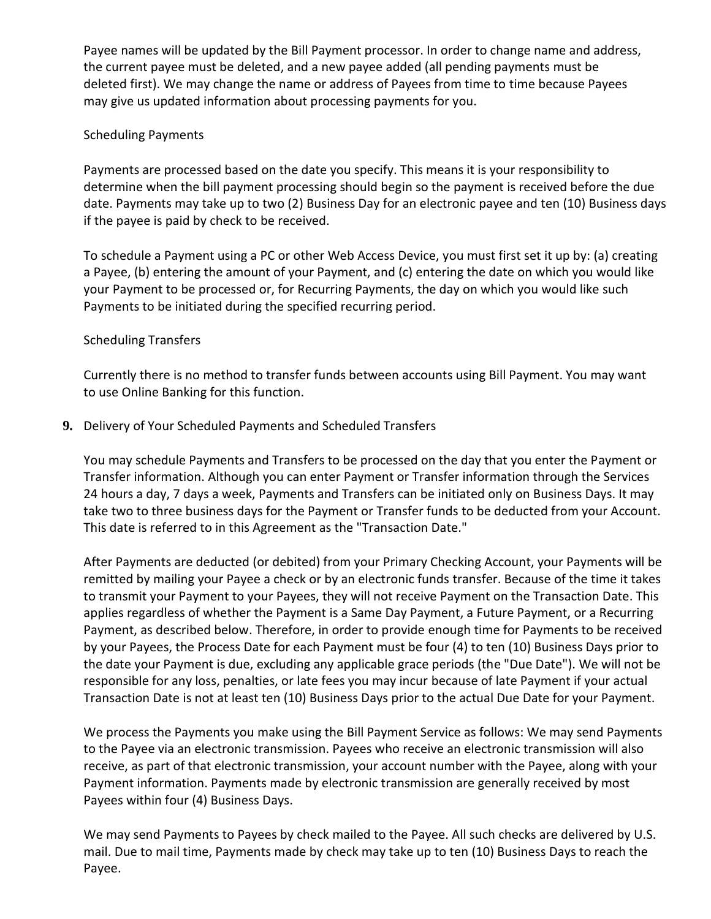Payee names will be updated by the Bill Payment processor. In order to change name and address, the current payee must be deleted, and a new payee added (all pending payments must be deleted first). We may change the name or address of Payees from time to time because Payees may give us updated information about processing payments for you.

## Scheduling Payments

Payments are processed based on the date you specify. This means it is your responsibility to determine when the bill payment processing should begin so the payment is received before the due date. Payments may take up to two (2) Business Day for an electronic payee and ten (10) Business days if the payee is paid by check to be received.

To schedule a Payment using a PC or other Web Access Device, you must first set it up by: (a) creating a Payee, (b) entering the amount of your Payment, and (c) entering the date on which you would like your Payment to be processed or, for Recurring Payments, the day on which you would like such Payments to be initiated during the specified recurring period.

# Scheduling Transfers

Currently there is no method to transfer funds between accounts using Bill Payment. You may want to use Online Banking for this function.

**9.** Delivery of Your Scheduled Payments and Scheduled Transfers

You may schedule Payments and Transfers to be processed on the day that you enter the Payment or Transfer information. Although you can enter Payment or Transfer information through the Services 24 hours a day, 7 days a week, Payments and Transfers can be initiated only on Business Days. It may take two to three business days for the Payment or Transfer funds to be deducted from your Account. This date is referred to in this Agreement as the "Transaction Date."

After Payments are deducted (or debited) from your Primary Checking Account, your Payments will be remitted by mailing your Payee a check or by an electronic funds transfer. Because of the time it takes to transmit your Payment to your Payees, they will not receive Payment on the Transaction Date. This applies regardless of whether the Payment is a Same Day Payment, a Future Payment, or a Recurring Payment, as described below. Therefore, in order to provide enough time for Payments to be received by your Payees, the Process Date for each Payment must be four (4) to ten (10) Business Days prior to the date your Payment is due, excluding any applicable grace periods (the "Due Date"). We will not be responsible for any loss, penalties, or late fees you may incur because of late Payment if your actual Transaction Date is not at least ten (10) Business Days prior to the actual Due Date for your Payment.

We process the Payments you make using the Bill Payment Service as follows: We may send Payments to the Payee via an electronic transmission. Payees who receive an electronic transmission will also receive, as part of that electronic transmission, your account number with the Payee, along with your Payment information. Payments made by electronic transmission are generally received by most Payees within four (4) Business Days.

We may send Payments to Payees by check mailed to the Payee. All such checks are delivered by U.S. mail. Due to mail time, Payments made by check may take up to ten (10) Business Days to reach the Payee.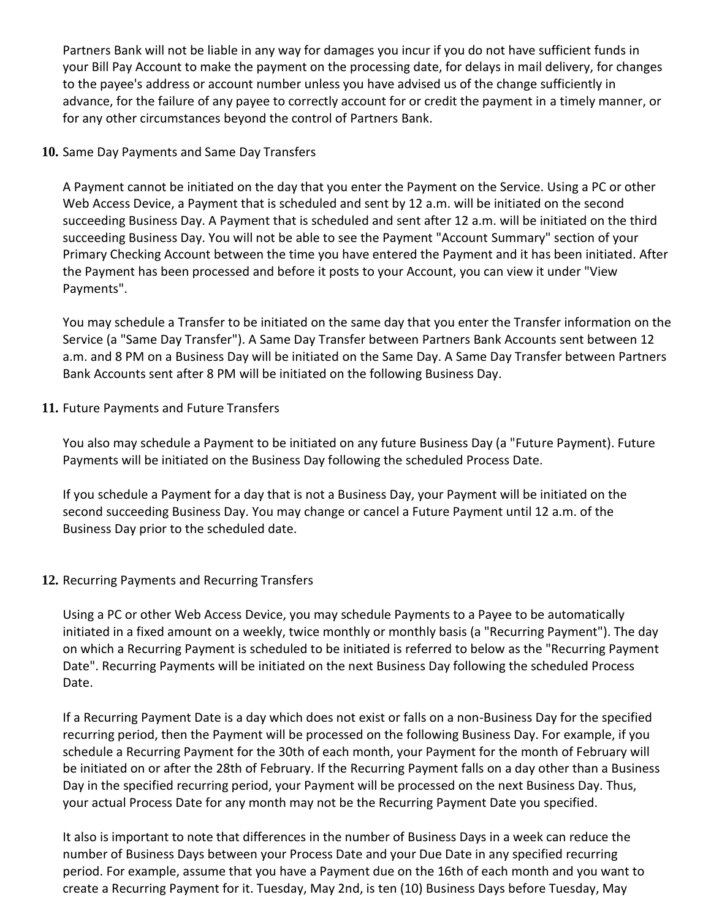Partners Bank will not be liable in any way for damages you incur if you do not have sufficient funds in your Bill Pay Account to make the payment on the processing date, for delays in mail delivery, for changes to the payee's address or account number unless you have advised us of the change sufficiently in advance, for the failure of any payee to correctly account for or credit the payment in a timely manner, or for any other circumstances beyond the control of Partners Bank.

## **10.** Same Day Payments and Same Day Transfers

A Payment cannot be initiated on the day that you enter the Payment on the Service. Using a PC or other Web Access Device, a Payment that is scheduled and sent by 12 a.m. will be initiated on the second succeeding Business Day. A Payment that is scheduled and sent after 12 a.m. will be initiated on the third succeeding Business Day. You will not be able to see the Payment "Account Summary" section of your Primary Checking Account between the time you have entered the Payment and it has been initiated. After the Payment has been processed and before it posts to your Account, you can view it under "View Payments".

You may schedule a Transfer to be initiated on the same day that you enter the Transfer information on the Service (a "Same Day Transfer"). A Same Day Transfer between Partners Bank Accounts sent between 12 a.m. and 8 PM on a Business Day will be initiated on the Same Day. A Same Day Transfer between Partners Bank Accounts sent after 8 PM will be initiated on the following Business Day.

# **11.** Future Payments and Future Transfers

You also may schedule a Payment to be initiated on any future Business Day (a "Future Payment). Future Payments will be initiated on the Business Day following the scheduled Process Date.

If you schedule a Payment for a day that is not a Business Day, your Payment will be initiated on the second succeeding Business Day. You may change or cancel a Future Payment until 12 a.m. of the Business Day prior to the scheduled date.

# **12.** Recurring Payments and Recurring Transfers

Using a PC or other Web Access Device, you may schedule Payments to a Payee to be automatically initiated in a fixed amount on a weekly, twice monthly or monthly basis (a "Recurring Payment"). The day on which a Recurring Payment is scheduled to be initiated is referred to below as the "Recurring Payment Date". Recurring Payments will be initiated on the next Business Day following the scheduled Process Date.

If a Recurring Payment Date is a day which does not exist or falls on a non-Business Day for the specified recurring period, then the Payment will be processed on the following Business Day. For example, if you schedule a Recurring Payment for the 30th of each month, your Payment for the month of February will be initiated on or after the 28th of February. If the Recurring Payment falls on a day other than a Business Day in the specified recurring period, your Payment will be processed on the next Business Day. Thus, your actual Process Date for any month may not be the Recurring Payment Date you specified.

It also is important to note that differences in the number of Business Days in a week can reduce the number of Business Days between your Process Date and your Due Date in any specified recurring period. For example, assume that you have a Payment due on the 16th of each month and you want to create a Recurring Payment for it. Tuesday, May 2nd, is ten (10) Business Days before Tuesday, May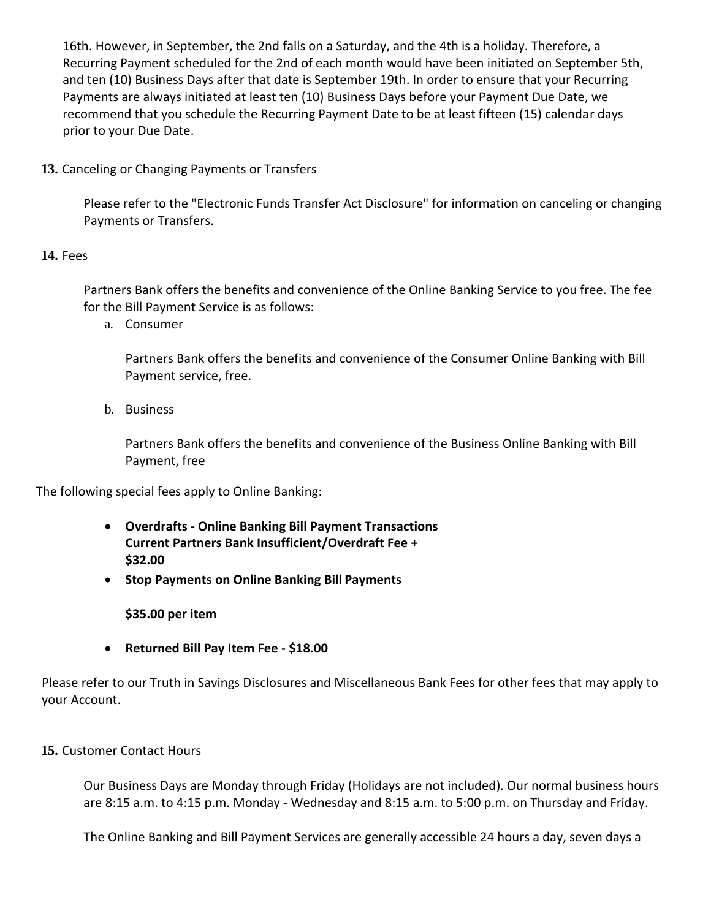16th. However, in September, the 2nd falls on a Saturday, and the 4th is a holiday. Therefore, a Recurring Payment scheduled for the 2nd of each month would have been initiated on September 5th, and ten (10) Business Days after that date is September 19th. In order to ensure that your Recurring Payments are always initiated at least ten (10) Business Days before your Payment Due Date, we recommend that you schedule the Recurring Payment Date to be at least fifteen (15) calendar days prior to your Due Date.

**13.** Canceling or Changing Payments or Transfers

Please refer to the "Electronic Funds Transfer Act Disclosure" for information on canceling or changing Payments or Transfers.

# **14.** Fees

Partners Bank offers the benefits and convenience of the Online Banking Service to you free. The fee for the Bill Payment Service is as follows:

a. Consumer

Partners Bank offers the benefits and convenience of the Consumer Online Banking with Bill Payment service, free.

b. Business

Partners Bank offers the benefits and convenience of the Business Online Banking with Bill Payment, free

The following special fees apply to Online Banking:

- **Overdrafts - Online Banking Bill Payment Transactions Current Partners Bank Insufficient/Overdraft Fee + \$32.00**
- **Stop Payments on Online Banking Bill Payments**

**\$35.00 per item**

• **Returned Bill Pay Item Fee - \$18.00**

Please refer to our Truth in Savings Disclosures and Miscellaneous Bank Fees for other fees that may apply to your Account.

## **15.** Customer Contact Hours

Our Business Days are Monday through Friday (Holidays are not included). Our normal business hours are 8:15 a.m. to 4:15 p.m. Monday - Wednesday and 8:15 a.m. to 5:00 p.m. on Thursday and Friday.

The Online Banking and Bill Payment Services are generally accessible 24 hours a day, seven days a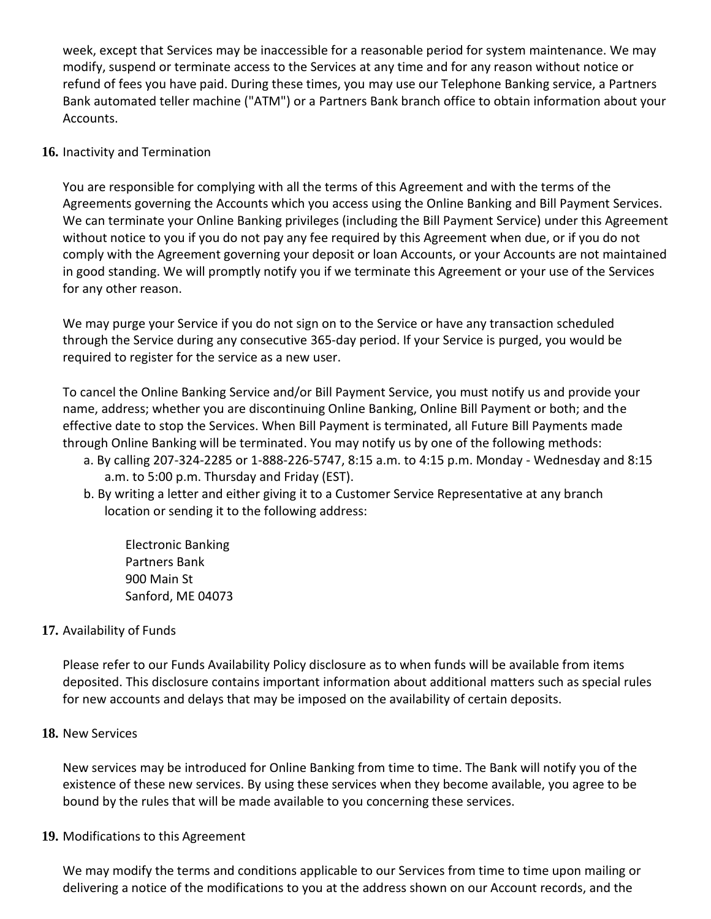week, except that Services may be inaccessible for a reasonable period for system maintenance. We may modify, suspend or terminate access to the Services at any time and for any reason without notice or refund of fees you have paid. During these times, you may use our Telephone Banking service, a Partners Bank automated teller machine ("ATM") or a Partners Bank branch office to obtain information about your Accounts.

### **16.** Inactivity and Termination

You are responsible for complying with all the terms of this Agreement and with the terms of the Agreements governing the Accounts which you access using the Online Banking and Bill Payment Services. We can terminate your Online Banking privileges (including the Bill Payment Service) under this Agreement without notice to you if you do not pay any fee required by this Agreement when due, or if you do not comply with the Agreement governing your deposit or loan Accounts, or your Accounts are not maintained in good standing. We will promptly notify you if we terminate this Agreement or your use of the Services for any other reason.

We may purge your Service if you do not sign on to the Service or have any transaction scheduled through the Service during any consecutive 365-day period. If your Service is purged, you would be required to register for the service as a new user.

To cancel the Online Banking Service and/or Bill Payment Service, you must notify us and provide your name, address; whether you are discontinuing Online Banking, Online Bill Payment or both; and the effective date to stop the Services. When Bill Payment is terminated, all Future Bill Payments made through Online Banking will be terminated. You may notify us by one of the following methods:

- a. By calling 207-324-2285 or 1-888-226-5747, 8:15 a.m. to 4:15 p.m. Monday Wednesday and 8:15 a.m. to 5:00 p.m. Thursday and Friday (EST).
- b. By writing a letter and either giving it to a Customer Service Representative at any branch location or sending it to the following address:

Electronic Banking Partners Bank 900 Main St Sanford, ME 04073

## **17.** Availability of Funds

Please refer to our Funds Availability Policy disclosure as to when funds will be available from items deposited. This disclosure contains important information about additional matters such as special rules for new accounts and delays that may be imposed on the availability of certain deposits.

### **18.** New Services

New services may be introduced for Online Banking from time to time. The Bank will notify you of the existence of these new services. By using these services when they become available, you agree to be bound by the rules that will be made available to you concerning these services.

### **19.** Modifications to this Agreement

We may modify the terms and conditions applicable to our Services from time to time upon mailing or delivering a notice of the modifications to you at the address shown on our Account records, and the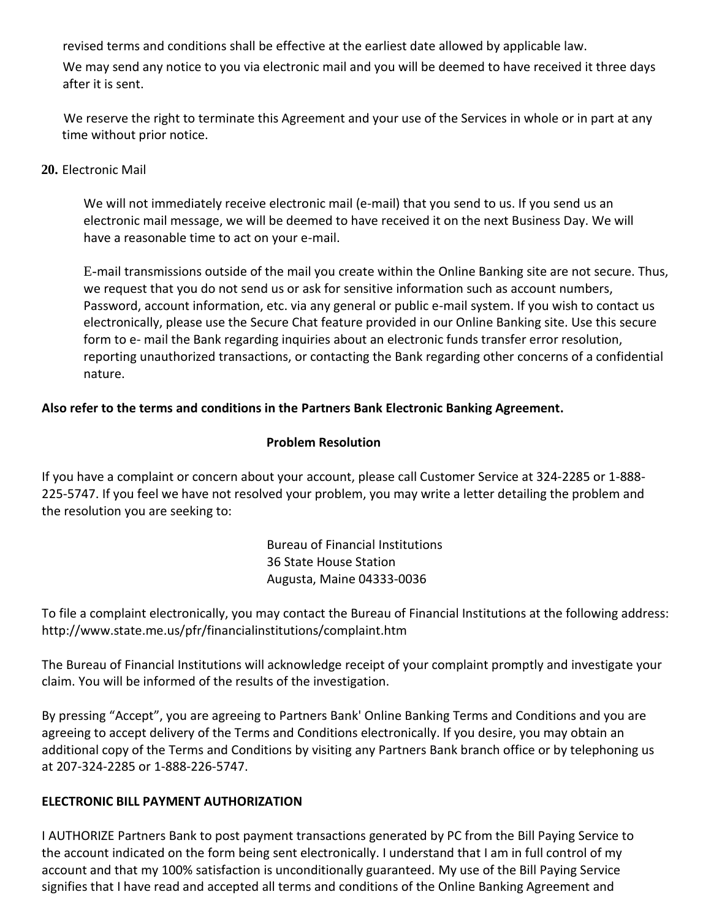revised terms and conditions shall be effective at the earliest date allowed by applicable law.

We may send any notice to you via electronic mail and you will be deemed to have received it three days after it is sent.

We reserve the right to terminate this Agreement and your use of the Services in whole or in part at any time without prior notice.

### **20.** Electronic Mail

We will not immediately receive electronic mail (e-mail) that you send to us. If you send us an electronic mail message, we will be deemed to have received it on the next Business Day. We will have a reasonable time to act on your e-mail.

E-mail transmissions outside of the mail you create within the Online Banking site are not secure. Thus, we request that you do not send us or ask for sensitive information such as account numbers, Password, account information, etc. via any general or public e-mail system. If you wish to contact us electronically, please use the Secure Chat feature provided in our Online Banking site. Use this secure form to e- mail the Bank regarding inquiries about an electronic funds transfer error resolution, reporting unauthorized transactions, or contacting the Bank regarding other concerns of a confidential nature.

## **Also refer to the terms and conditions in the Partners Bank Electronic Banking Agreement.**

### **Problem Resolution**

If you have a complaint or concern about your account, please call Customer Service at 324-2285 or 1-888- 225-5747. If you feel we have not resolved your problem, you may write a letter detailing the problem and the resolution you are seeking to:

> Bureau of Financial Institutions 36 State House Station Augusta, Maine 04333-0036

To file a complaint electronically, you may contact the Bureau of Financial Institutions at the following address: <http://www.state.me.us/pfr/financialinstitutions/complaint.htm>

The Bureau of Financial Institutions will acknowledge receipt of your complaint promptly and investigate your claim. You will be informed of the results of the investigation.

By pressing "Accept", you are agreeing to Partners Bank' Online Banking Terms and Conditions and you are agreeing to accept delivery of the Terms and Conditions electronically. If you desire, you may obtain an additional copy of the Terms and Conditions by visiting any Partners Bank branch office or by telephoning us at 207-324-2285 or 1-888-226-5747.

## **ELECTRONIC BILL PAYMENT AUTHORIZATION**

I AUTHORIZE Partners Bank to post payment transactions generated by PC from the Bill Paying Service to the account indicated on the form being sent electronically. I understand that I am in full control of my account and that my 100% satisfaction is unconditionally guaranteed. My use of the Bill Paying Service signifies that I have read and accepted all terms and conditions of the Online Banking Agreement and